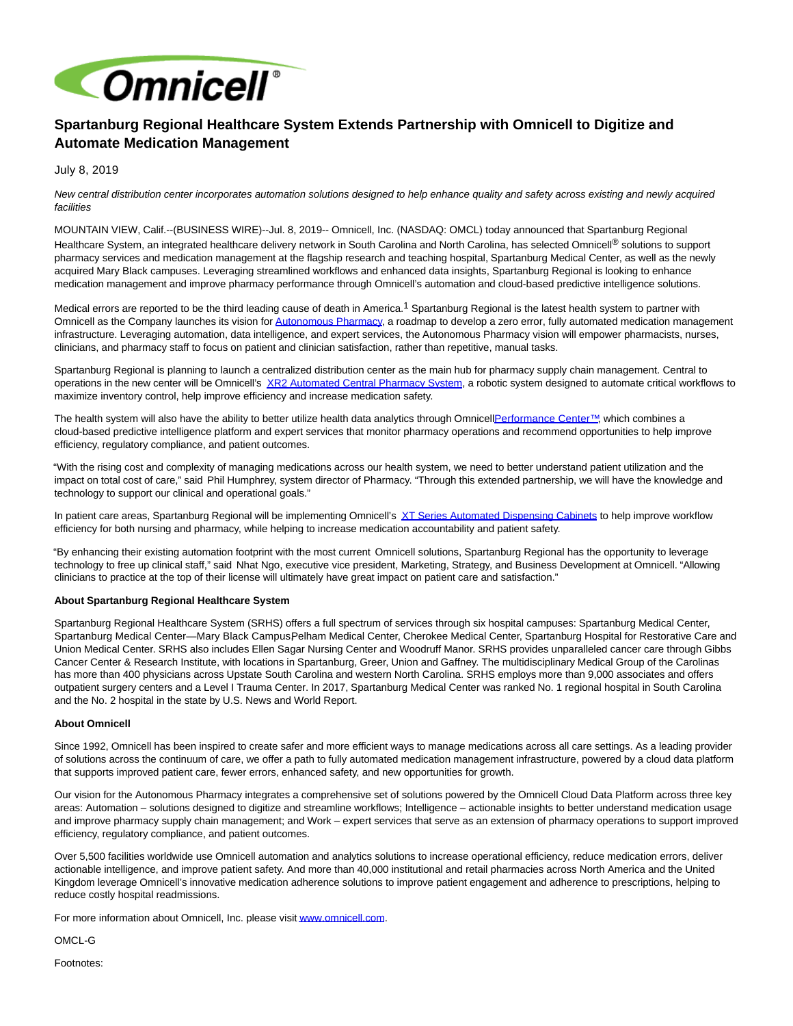

## **Spartanburg Regional Healthcare System Extends Partnership with Omnicell to Digitize and Automate Medication Management**

July 8, 2019

New central distribution center incorporates automation solutions designed to help enhance quality and safety across existing and newly acquired facilities

MOUNTAIN VIEW, Calif.--(BUSINESS WIRE)--Jul. 8, 2019-- Omnicell, Inc. (NASDAQ: OMCL) today announced that Spartanburg Regional Healthcare System, an integrated healthcare delivery network in South Carolina and North Carolina, has selected Omnicell® solutions to support pharmacy services and medication management at the flagship research and teaching hospital, Spartanburg Medical Center, as well as the newly acquired Mary Black campuses. Leveraging streamlined workflows and enhanced data insights, Spartanburg Regional is looking to enhance medication management and improve pharmacy performance through Omnicell's automation and cloud-based predictive intelligence solutions.

Medical errors are reported to be the third leading cause of death in America.<sup>1</sup> Spartanburg Regional is the latest health system to partner with Omnicell as the Company launches its vision for [Autonomous Pharmacy,](https://cts.businesswire.com/ct/CT?id=smartlink&url=https%3A%2F%2Fview.vzaar.com%2F19633702%2Fplayer&esheet=52009511&newsitemid=20190708005118&lan=en-US&anchor=Autonomous+Pharmacy&index=1&md5=cdb122c6af5e10e944385b281be339b4) a roadmap to develop a zero error, fully automated medication management infrastructure. Leveraging automation, data intelligence, and expert services, the Autonomous Pharmacy vision will empower pharmacists, nurses, clinicians, and pharmacy staff to focus on patient and clinician satisfaction, rather than repetitive, manual tasks.

Spartanburg Regional is planning to launch a centralized distribution center as the main hub for pharmacy supply chain management. Central to operations in the new center will be Omnicell's [XR2 Automated Central Pharmacy System,](https://cts.businesswire.com/ct/CT?id=smartlink&url=https%3A%2F%2Fwww.omnicell.com%2FProducts%2FPharmacy_Automation%2FRobotic_Pharmacy_Systems%2FXR2_Automated_Central_Pharmacy_System.aspx&esheet=52009511&newsitemid=20190708005118&lan=en-US&anchor=XR2+Automated+Central+Pharmacy+System&index=2&md5=0f3a86761b4cfc46fab597fd24f04c7a) a robotic system designed to automate critical workflows to maximize inventory control, help improve efficiency and increase medication safety.

The health system will also have the ability to better utilize health data analytics through Omnice[llPerformance Center™,](https://cts.businesswire.com/ct/CT?id=smartlink&url=https%3A%2F%2Fwww.omnicell.com%2FProducts%2FPerformance_Center.aspx&esheet=52009511&newsitemid=20190708005118&lan=en-US&anchor=Performance+Center%26%238482%3B&index=3&md5=25f73e37070d856c3acde9b3ef28bd4b) which combines a cloud-based predictive intelligence platform and expert services that monitor pharmacy operations and recommend opportunities to help improve efficiency, regulatory compliance, and patient outcomes.

"With the rising cost and complexity of managing medications across our health system, we need to better understand patient utilization and the impact on total cost of care," said Phil Humphrey, system director of Pharmacy. "Through this extended partnership, we will have the knowledge and technology to support our clinical and operational goals."

In patient care areas, Spartanburg Regional will be implementing Omnicell's [XT Series Automated Dispensing Cabinets t](https://cts.businesswire.com/ct/CT?id=smartlink&url=https%3A%2F%2Fwww.omnicell.com%2Fus%2Fen_us%2Fproducts%2Fomnicell-xt-automated-dispensing-cabinets&esheet=52009511&newsitemid=20190708005118&lan=en-US&anchor=XT+Series+Automated+Dispensing+Cabinets&index=4&md5=83873fc40c30cc2a084c53112d6dd174)o help improve workflow efficiency for both nursing and pharmacy, while helping to increase medication accountability and patient safety.

"By enhancing their existing automation footprint with the most current Omnicell solutions, Spartanburg Regional has the opportunity to leverage technology to free up clinical staff," said Nhat Ngo, executive vice president, Marketing, Strategy, and Business Development at Omnicell. "Allowing clinicians to practice at the top of their license will ultimately have great impact on patient care and satisfaction."

## **About Spartanburg Regional Healthcare System**

Spartanburg Regional Healthcare System (SRHS) offers a full spectrum of services through six hospital campuses: Spartanburg Medical Center, Spartanburg Medical Center—Mary Black Campus, Pelham Medical Center, Cherokee Medical Center, Spartanburg Hospital for Restorative Care and Union Medical Center. SRHS also includes Ellen Sagar Nursing Center and Woodruff Manor. SRHS provides unparalleled cancer care through Gibbs Cancer Center & Research Institute, with locations in Spartanburg, Greer, Union and Gaffney. The multidisciplinary Medical Group of the Carolinas has more than 400 physicians across Upstate South Carolina and western North Carolina. SRHS employs more than 9,000 associates and offers outpatient surgery centers and a Level I Trauma Center. In 2017, Spartanburg Medical Center was ranked No. 1 regional hospital in South Carolina and the No. 2 hospital in the state by U.S. News and World Report.

## **About Omnicell**

Since 1992, Omnicell has been inspired to create safer and more efficient ways to manage medications across all care settings. As a leading provider of solutions across the continuum of care, we offer a path to fully automated medication management infrastructure, powered by a cloud data platform that supports improved patient care, fewer errors, enhanced safety, and new opportunities for growth.

Our vision for the Autonomous Pharmacy integrates a comprehensive set of solutions powered by the Omnicell Cloud Data Platform across three key areas: Automation – solutions designed to digitize and streamline workflows; Intelligence – actionable insights to better understand medication usage and improve pharmacy supply chain management; and Work – expert services that serve as an extension of pharmacy operations to support improved efficiency, regulatory compliance, and patient outcomes.

Over 5,500 facilities worldwide use Omnicell automation and analytics solutions to increase operational efficiency, reduce medication errors, deliver actionable intelligence, and improve patient safety. And more than 40,000 institutional and retail pharmacies across North America and the United Kingdom leverage Omnicell's innovative medication adherence solutions to improve patient engagement and adherence to prescriptions, helping to reduce costly hospital readmissions.

For more information about Omnicell, Inc. please visi[t www.omnicell.com.](https://cts.businesswire.com/ct/CT?id=smartlink&url=http%3A%2F%2Fwww.omnicell.com%2F&esheet=52009511&newsitemid=20190708005118&lan=en-US&anchor=www.omnicell.com&index=5&md5=f4c41ca31fc4529603e474be1d35dc0a)

OMCL-G

Footnotes: